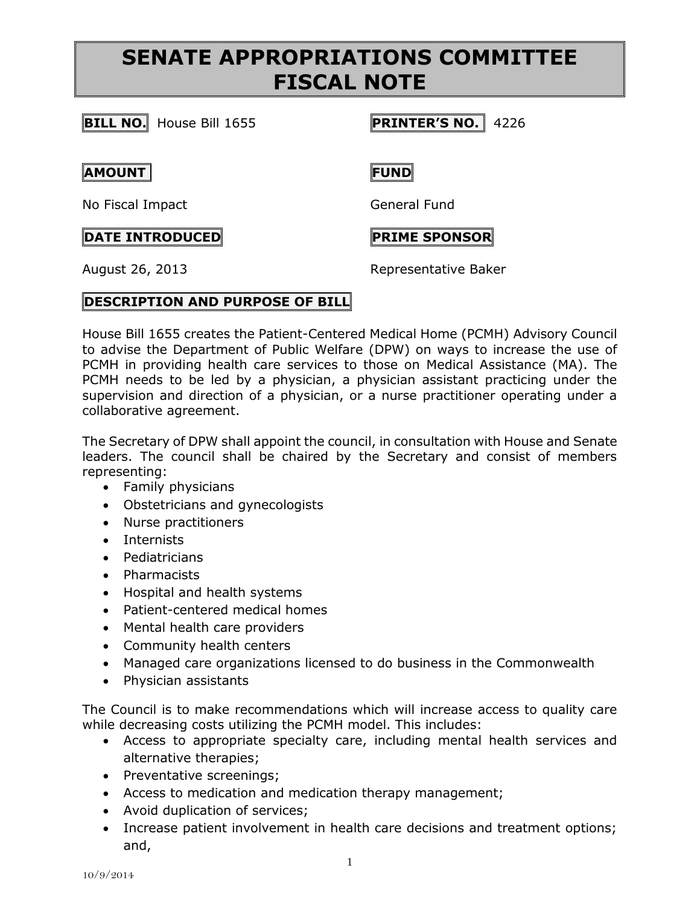# **SENATE APPROPRIATIONS COMMITTEE FISCAL NOTE**

**BILL NO.** House Bill 1655 **PRINTER'S NO.** 4226

## **AMOUNT FUND**

No Fiscal Impact General Fund

# **DATE INTRODUCED PRIME SPONSOR**

August 26, 2013 Representative Baker

## **DESCRIPTION AND PURPOSE OF BILL**

House Bill 1655 creates the Patient-Centered Medical Home (PCMH) Advisory Council to advise the Department of Public Welfare (DPW) on ways to increase the use of PCMH in providing health care services to those on Medical Assistance (MA). The PCMH needs to be led by a physician, a physician assistant practicing under the supervision and direction of a physician, or a nurse practitioner operating under a collaborative agreement.

The Secretary of DPW shall appoint the council, in consultation with House and Senate leaders. The council shall be chaired by the Secretary and consist of members representing:

- Family physicians
- Obstetricians and gynecologists
- Nurse practitioners
- Internists
- Pediatricians
- Pharmacists
- Hospital and health systems
- Patient-centered medical homes
- Mental health care providers
- Community health centers
- Managed care organizations licensed to do business in the Commonwealth
- Physician assistants

The Council is to make recommendations which will increase access to quality care while decreasing costs utilizing the PCMH model. This includes:

- Access to appropriate specialty care, including mental health services and alternative therapies;
- Preventative screenings;
- Access to medication and medication therapy management;
- Avoid duplication of services;
- Increase patient involvement in health care decisions and treatment options; and,